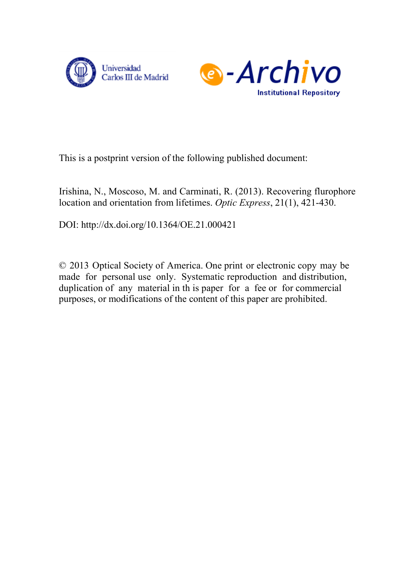



This is a postprint version of the following published document:

Irishina, N., Moscoso, M. and Carminati, R. (2013). Recovering flurophore location and orientation from lifetimes. *Optic Express*, 21(1), 421-430.

DOI: <http://dx.doi.org/10.1364/OE.21.000421>

© 2013 Optical Society of America. One print or electronic copy may be made for personal use only. Systematic reproduction and distribution, duplication of any material in th is paper for a fee or for commercial purposes, or modifications of the content of this paper are prohibited.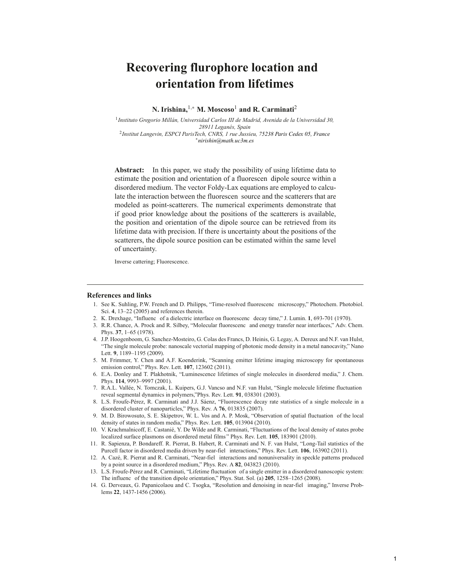# **Recovering flurophore location and orientation from lifetimes**

**N. Irishina,**1,<sup>∗</sup> **M. Moscoso**<sup>1</sup> **and R. Carminati**<sup>2</sup>

<sup>1</sup>*Instituto Gregorio Millan, Universidad Carlos III de Madrid, Avenida de la Universidad 30, ´ 28911 Leganes, Spain ´* <sup>2</sup>*Institut Langevin, ESPCI ParisTech, CNRS, 1 rue Jussieu, 75238 Paris Cedex 05, France* ∗*nirishin@math.uc3m.es*

**Abstract:** In this paper, we study the possibility of using lifetime data to estimate the position and orientation of a fluorescen dipole source within a disordered medium. The vector Foldy-Lax equations are employed to calculate the interaction between the fluorescen source and the scatterers that are modeled as point-scatterers. The numerical experiments demonstrate that if good prior knowledge about the positions of the scatterers is available, the position and orientation of the dipole source can be retrieved from its lifetime data with precision. If there is uncertainty about the positions of the scatterers, the dipole source position can be estimated within the same level of uncertainty.

Inverse cattering; Fluorescence.

#### **References and links**

- 1. See K. Suhling, P.W. French and D. Philipps, "Time-resolved fluorescenc microscopy," Photochem. Photobiol. Sci. **4**, 13–22 (2005) and references therein.
- 2. K. Drexhage, "Influenc of a dielectric interface on fluorescenc decay time," J. Lumin. **1**, 693-701 (1970).
- 3. R.R. Chance, A. Prock and R. Silbey, "Molecular fluorescenc and energy transfer near interfaces," Adv. Chem. Phys. **37**, 1–65 (1978).
- 4. J.P. Hoogenboom, G. Sanchez-Mosteiro, G. Colas des Francs, D. Heinis, G. Legay, A. Dereux and N.F. van Hulst, "The single molecule probe: nanoscale vectorial mapping of photonic mode density in a metal nanocavity," Nano Lett. **9**, 1189–1195 (2009).
- 5. M. Frimmer, Y. Chen and A.F. Koenderink, "Scanning emitter lifetime imaging microscopy for spontaneous emission control," Phys. Rev. Lett. **107**, 123602 (2011).
- 6. E.A. Donley and T. Plakhotnik, "Luminescence lifetimes of single molecules in disordered media," J. Chem. Phys. **114**, 9993–9997 (2001).
- 7. R.A.L. Vallee, N. Tomczak, L. Kuipers, G.J. Vancso and N.F. van Hulst, "Single molecule lifetime fluctuation ´ reveal segmental dynamics in polymers,"Phys. Rev. Lett. **91**, 038301 (2003).
- 8. L.S. Froufe-Pérez, R. Carminati and J.J. Sáenz, "Fluorescence decay rate statistics of a single molecule in a disordered cluster of nanoparticles," Phys. Rev. A **76**, 013835 (2007).
- 9. M. D. Birowosuto, S. E. Skipetrov, W. L. Vos and A. P. Mosk, "Observation of spatial fluctuation of the local density of states in random media," Phys. Rev. Lett. **105**, 013904 (2010).
- 10. V. Krachmalnicoff, E. Castanie, Y. De Wilde and R. Carminati, "Fluctuations of the local density of states probe ´ localized surface plasmons on disordered metal films " Phys. Rev. Lett. **105**, 183901 (2010).
- 11. R. Sapienza, P. Bondareff. R. Pierrat, B. Habert, R. Carminati and N. F. van Hulst, "Long-Tail statistics of the Purcell factor in disordered media driven by near-fiel interactions," Phys. Rev. Lett. **106**, 163902 (2011).
- 12. A. Caze, R. Pierrat and R. Carminati, "Near-fiel interactions and nonuniversality in speckle patterns produced ´ by a point source in a disordered medium," Phys. Rev. A **82**, 043823 (2010).
- 13. L.S. Froufe-Perez and R. Carminati, "Lifetime fluctuation of a single emitter in a disordered nanoscopic system: ´ The influenc of the transition dipole orientation," Phys. Stat. Sol. (a) **205**, 1258–1265 (2008).
- 14. G. Derveaux, G. Papanicolaou and C. Tsogka, "Resolution and denoising in near-fiel imaging," Inverse Problems **22**, 1437-1456 (2006).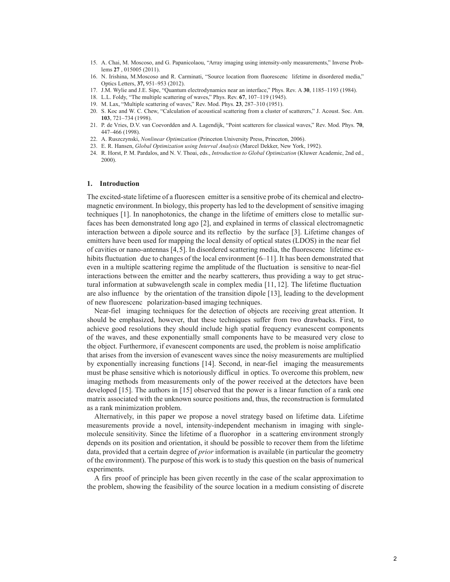- 15. A. Chai, M. Moscoso, and G. Papanicolaou, "Array imaging using intensity-only measurements," Inverse Problems **27** , 015005 (2011).
- 16. N. Irishina, M.Moscoso and R. Carminati, "Source location from fluorescenc lifetime in disordered media," Optics Letters, **37,** 951–953 (2012).
- 17. J.M. Wylie and J.E. Sipe, "Quantum electrodynamics near an interface," Phys. Rev. A **30**, 1185–1193 (1984).
- 18. L.L. Foldy, "The multiple scattering of waves," Phys. Rev. **67**, 107–119 (1945).
- 19. M. Lax, "Multiple scattering of waves," Rev. Mod. Phys. **23**, 287–310 (1951).
- 20. S. Koc and W. C. Chew, "Calculation of acoustical scattering from a cluster of scatterers," J. Acoust. Soc. Am. **103**, 721–734 (1998).
- 21. P. de Vries, D.V. van Coevordden and A. Lagendijk, "Point scatterers for classical waves," Rev. Mod. Phys. **70**, 447–466 (1998).
- 22. A. Ruszczynski, *Nonlinear Optimization* (Princeton University Press, Princeton, 2006).
- 23. E. R. Hansen, *Global Optimization using Interval Analysis* (Marcel Dekker, New York, 1992).
- 24. R. Horst, P. M. Pardalos, and N. V. Thoai, eds., *Introduction to Global Optimization* (Kluwer Academic, 2nd ed., 2000).

#### **1. Introduction**

The excited-state lifetime of a fluorescen emitter is a sensitive probe of its chemical and electromagnetic environment. In biology, this property has led to the development of sensitive imaging techniques [1]. In nanophotonics, the change in the lifetime of emitters close to metallic surfaces has been demonstrated long ago [2], and explained in terms of classical electromagnetic interaction between a dipole source and its reflectio by the surface [3]. Lifetime changes of emitters have been used for mapping the local density of optical states (LDOS) in the near fiel of cavities or nano-antennas [4,5]. In disordered scattering media, the fluorescenc lifetime exhibits fluctuation due to changes of the local environment [6–11]. It has been demonstrated that even in a multiple scattering regime the amplitude of the fluctuation is sensitive to near-fiel interactions between the emitter and the nearby scatterers, thus providing a way to get structural information at subwavelength scale in complex media [11, 12]. The lifetime fluctuation are also influence by the orientation of the transition dipole [13], leading to the development of new fluorescenc polarization-based imaging techniques.

Near-fiel imaging techniques for the detection of objects are receiving great attention. It should be emphasized, however, that these techniques suffer from two drawbacks. First, to achieve good resolutions they should include high spatial frequency evanescent components of the waves, and these exponentially small components have to be measured very close to the object. Furthermore, if evanescent components are used, the problem is noise amplificatio that arises from the inversion of evanescent waves since the noisy measurements are multiplied by exponentially increasing functions [14]. Second, in near-fiel imaging the measurements must be phase sensitive which is notoriously difficul in optics. To overcome this problem, new imaging methods from measurements only of the power received at the detectors have been developed [15]. The authors in [15] observed that the power is a linear function of a rank one matrix associated with the unknown source positions and, thus, the reconstruction is formulated as a rank minimization problem.

Alternatively, in this paper we propose a novel strategy based on lifetime data. Lifetime measurements provide a novel, intensity-independent mechanism in imaging with singlemolecule sensitivity. Since the lifetime of a fluorophor in a scattering environment strongly depends on its position and orientation, it should be possible to recover them from the lifetime data, provided that a certain degree of *prior* information is available (in particular the geometry of the environment). The purpose of this work is to study this question on the basis of numerical experiments.

A firs proof of principle has been given recently in the case of the scalar approximation to the problem, showing the feasibility of the source location in a medium consisting of discrete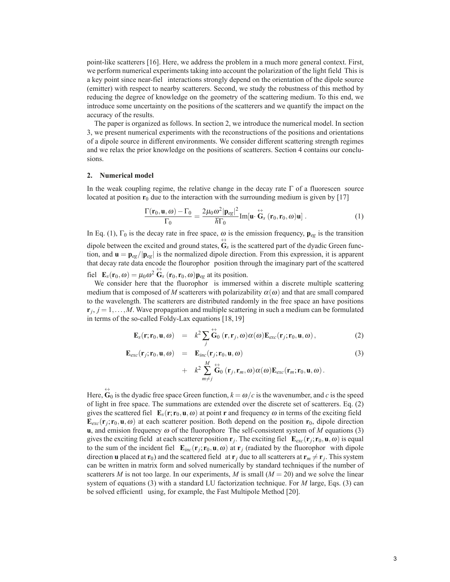point-like scatterers [16]. Here, we address the problem in a much more general context. First, we perform numerical experiments taking into account the polarization of the light field This is a key point since near-fiel interactions strongly depend on the orientation of the dipole source (emitter) with respect to nearby scatterers. Second, we study the robustness of this method by reducing the degree of knowledge on the geometry of the scattering medium. To this end, we introduce some uncertainty on the positions of the scatterers and we quantify the impact on the accuracy of the results.

The paper is organized as follows. In section 2, we introduce the numerical model. In section 3, we present numerical experiments with the reconstructions of the positions and orientations of a dipole source in different environments. We consider different scattering strength regimes and we relax the prior knowledge on the positions of scatterers. Section 4 contains our conclusions.

## **2. Numerical model**

In the weak coupling regime, the relative change in the decay rate  $\Gamma$  of a fluorescen source located at position  $r_0$  due to the interaction with the surrounding medium is given by [17]

$$
\frac{\Gamma(\mathbf{r}_0, \mathbf{u}, \omega) - \Gamma_0}{\Gamma_0} = \frac{2\mu_0 \omega^2 |\mathbf{p}_{eg}|^2}{\hbar \Gamma_0} Im[\mathbf{u} \cdot \mathbf{\hat{G}}_s (\mathbf{r}_0, \mathbf{r}_0, \omega) \mathbf{u}].
$$
 (1)

In Eq. (1),  $\Gamma_0$  is the decay rate in free space,  $\omega$  is the emission frequency,  $\mathbf{p}_{eg}$  is the transition dipole between the excited and ground states,  $\overleftrightarrow{\mathbf{G}}_s$  is the scattered part of the dyadic Green function, and  $\mathbf{u} = \mathbf{p}_{eg}/|\mathbf{p}_{eg}|$  is the normalized dipole direction. From this expression, it is apparent that decay rate data encode the flourophor position through the imaginary part of the scattered fiel  $\mathbf{E}_s(\mathbf{r}_0, \omega) = \mu_0 \omega^2 \mathbf{G}_s(\mathbf{r}_0, \mathbf{r}_0, \omega) \mathbf{p}_{eg}$  at its position.

We consider here that the fluorophor is immersed within a discrete multiple scattering medium that is composed of M scatterers with polarizability  $\alpha(\omega)$  and that are small compared to the wavelength. The scatterers are distributed randomly in the free space an have positions  $\mathbf{r}_i$ ,  $j = 1, \ldots, M$ . Wave propagation and multiple scattering in such a medium can be formulated in terms of the so-called Foldy-Lax equations [18, 19]

$$
\mathbf{E}_s(\mathbf{r}; \mathbf{r}_0, \mathbf{u}, \omega) = k^2 \sum_j \overset{\leftrightarrow}{\mathbf{G}}_0(\mathbf{r}, \mathbf{r}_j, \omega) \alpha(\omega) \mathbf{E}_{exc}(\mathbf{r}_j; \mathbf{r}_0, \mathbf{u}, \omega), \qquad (2)
$$

$$
\mathbf{E}_{exc}(\mathbf{r}_j; \mathbf{r}_0, \mathbf{u}, \omega) = \mathbf{E}_{inc}(\mathbf{r}_j; \mathbf{r}_0, \mathbf{u}, \omega) \n+ k^2 \sum_{m \neq j}^{M} \mathbf{G}_0(\mathbf{r}_j, \mathbf{r}_m, \omega) \alpha(\omega) \mathbf{E}_{exc}(\mathbf{r}_m; \mathbf{r}_0, \mathbf{u}, \omega).
$$
\n(3)

Here,  $\overleftrightarrow{\mathbf{G}}_0$  is the dyadic free space Green function,  $k = \omega/c$  is the wavenumber, and *c* is the speed of light in free space. The summations are extended over the discrete set of scatterers. Eq. (2) gives the scattered fiel  $\mathbf{E}_s(\mathbf{r}; \mathbf{r}_0, \mathbf{u}, \omega)$  at point **r** and frequency  $\omega$  in terms of the exciting field  $\mathbf{E}_{exc}(\mathbf{r}_i; \mathbf{r}_0, \mathbf{u}, \omega)$  at each scatterer position. Both depend on the position  $\mathbf{r}_0$ , dipole direction **u**, and emision frequency <sup>ω</sup> of the fluorophore The self-consistent system of *M* equations (3) gives the exciting field at each scatterer position  $\mathbf{r}_i$ . The exciting fiel  $\mathbf{E}_{exc}(\mathbf{r}_i; \mathbf{r}_0, \mathbf{u}, \omega)$  is equal to the sum of the incident fiel  $\mathbf{E}_{inc}(\mathbf{r}_i; \mathbf{r}_0, \mathbf{u}, \omega)$  at  $\mathbf{r}_i$  (radiated by the fluorophor with dipole direction **u** placed at **r**<sub>0</sub>) and the scattered field at **r**<sub>*j*</sub> due to all scatterers at **r**<sub>*m*</sub>  $\neq$  **r**<sub>*j*</sub>. This system can be written in matrix form and solved numerically by standard techniques if the number of scatterers *M* is not too large. In our experiments, *M* is small  $(M = 20)$  and we solve the linear system of equations (3) with a standard LU factorization technique. For *M* large, Eqs. (3) can be solved efficientl using, for example, the Fast Multipole Method [20].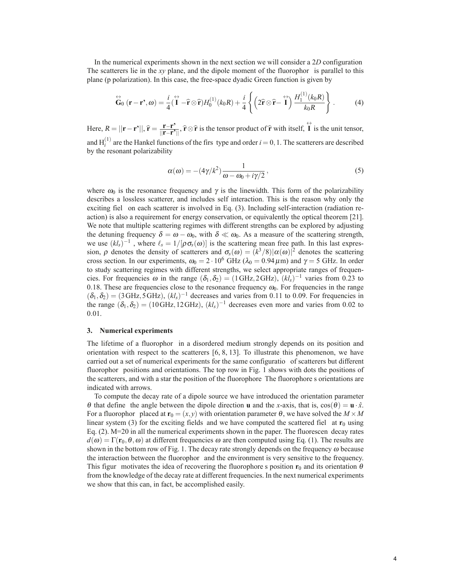In the numerical experiments shown in the next section we will consider a 2*D* configuration The scatterers lie in the *xy* plane, and the dipole moment of the fluorophor is parallel to this

plane (p polarization). In this case, the free-space dyadic Green function is given by  
\n
$$
\overleftrightarrow{\mathbf{G}}_0 (\mathbf{r} - \mathbf{r}^*, \omega) = \frac{i}{4} (\overrightarrow{\mathbf{I}} - \hat{\mathbf{r}} \otimes \hat{\mathbf{r}}) H_0^{(1)}(k_0 R) + \frac{i}{4} \left\{ \left( 2\hat{\mathbf{r}} \otimes \hat{\mathbf{r}} - \overrightarrow{\mathbf{I}} \right) \frac{H_1^{(1)}(k_0 R)}{k_0 R} \right\}.
$$
\n(4)

**Here,**  $R = ||\mathbf{r} - \mathbf{r}'||$ ,  $\hat{\mathbf{r}} = \frac{\mathbf{r} - \mathbf{r}'}{||\mathbf{r} - \mathbf{r}'||}$ ,  $\hat{\mathbf{r}} \otimes \hat{\mathbf{r}}$  is the tensor product of  $\hat{\mathbf{r}}$  with itself,  $\hat{\mathbf{l}}$  is the unit tensor, and  $H_i^{(1)}$  are the Hankel functions of the firs type and order  $i = 0, 1$ . The scatterers are described by the resonant polarizability

$$
\alpha(\omega) = -(4\gamma/k^2)\frac{1}{\omega - \omega_0 + i\gamma/2},\qquad(5)
$$

where  $\omega_0$  is the resonance frequency and  $\gamma$  is the linewidth. This form of the polarizability describes a lossless scatterer, and includes self interaction. This is the reason why only the exciting fiel on each scatterer is involved in Eq. (3). Including self-interaction (radiation reaction) is also a requirement for energy conservation, or equivalently the optical theorem [21]. We note that multiple scattering regimes with different strengths can be explored by adjusting the detuning frequency  $\delta = \omega - \omega_0$ , with  $\delta \ll \omega_0$ . As a measure of the scattering strength, we use  $(kl_s)^{-1}$ , where  $\ell_s = 1/[\rho \sigma_s(\omega)]$  is the scattering mean free path. In this last expression,  $\rho$  denotes the density of scatterers and  $\sigma_s(\omega)=(k^3/8)|\alpha(\omega)|^2$  denotes the scattering cross section. In our experiments,  $\omega_0 = 2 \cdot 10^6$  GHz ( $\lambda_0 = 0.94 \,\mu$ m) and  $\gamma = 5$  GHz. In order to study scattering regimes with different strengths, we select appropriate ranges of frequencies. For frequencies  $\omega$  in the range  $(\delta_1, \delta_2)=(1 \text{ GHz}, 2 \text{ GHz})$ ,  $(kl_s)^{-1}$  varies from 0.23 to 0.18. These are frequencies close to the resonance frequency  $\omega_0$ . For frequencies in the range  $(\delta_1, \delta_2)=(3 \text{ GHz}, 5 \text{ GHz}), (kl_s)^{-1}$  decreases and varies from 0.11 to 0.09. For frequencies in the range  $(\delta_1, \delta_2)$  = (10GHz, 12GHz),  $(kl_s)^{-1}$  decreases even more and varies from 0.02 to 0.01.

## **3. Numerical experiments**

The lifetime of a fluorophor in a disordered medium strongly depends on its position and orientation with respect to the scatterers  $[6, 8, 13]$ . To illustrate this phenomenon, we have carried out a set of numerical experiments for the same configuratio of scatterers but different fluorophor positions and orientations. The top row in Fig. 1 shows with dots the positions of the scatterers, and with a star the position of the fluorophore The fluorophore s orientations are indicated with arrows.

To compute the decay rate of a dipole source we have introduced the orientation parameter <sup>θ</sup> that define the angle between the dipole direction **u** and the *x*-axis, that is, cos(θ) = **u** · *x*ˆ. For a fluorophor placed at  $\mathbf{r}_0 = (x, y)$  with orientation parameter  $\theta$ , we have solved the  $M \times M$ linear system (3) for the exciting fields and we have computed the scattered fiel at  $\mathbf{r}_0$  using Eq. (2). M=20 in all the numerical experiments shown in the paper. The fluorescen decay rates  $d(\omega) = \Gamma(\mathbf{r}_0, \theta, \omega)$  at different frequencies  $\omega$  are then computed using Eq. (1). The results are shown in the bottom row of Fig. 1. The decay rate strongly depends on the frequency  $\omega$  because the interaction between the fluorophor and the environment is very sensitive to the frequency. This figur motivates the idea of recovering the fluorophore s position  $\mathbf{r}_0$  and its orientation  $\theta$ from the knowledge of the decay rate at different frequencies. In the next numerical experiments we show that this can, in fact, be accomplished easily.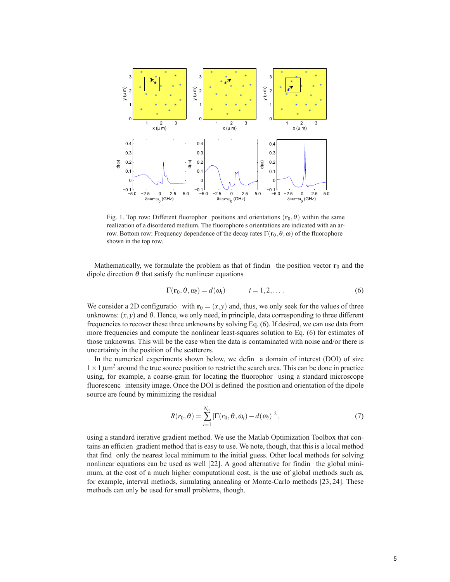

Fig. 1. Top row: Different fluorophor positions and orientations  $(\mathbf{r}_0, \theta)$  within the same realization of a disordered medium. The fluorophore s orientations are indicated with an arrow. Bottom row: Frequency dependence of the decay rates  $\Gamma(\mathbf{r}_0,\theta,\omega)$  of the fluorophore shown in the top row.

Mathematically, we formulate the problem as that of findin the position vector  $\mathbf{r}_0$  and the dipole direction  $\theta$  that satisfy the nonlinear equations

$$
\Gamma(\mathbf{r}_0, \theta, \omega_i) = d(\omega_i) \qquad i = 1, 2, \dots \qquad (6)
$$

We consider a 2D configuratio with  $\mathbf{r}_0 = (x, y)$  and, thus, we only seek for the values of three unknowns:  $(x, y)$  and  $\theta$ . Hence, we only need, in principle, data corresponding to three different frequencies to recover these three unknowns by solving Eq. (6). If desired, we can use data from more frequencies and compute the nonlinear least-squares solution to Eq. (6) for estimates of those unknowns. This will be the case when the data is contaminated with noise and/or there is uncertainty in the position of the scatterers.

In the numerical experiments shown below, we defin a domain of interest (DOI) of size  $1 \times 1 \mu m^2$  around the true source position to restrict the search area. This can be done in practice using, for example, a coarse-grain for locating the fluorophor using a standard microscope fluorescenc intensity image. Once the DOI is defined the position and orientation of the dipole source are found by minimizing the residual

$$
R(r_0, \theta) = \sum_{i=1}^{N_{\omega}} |\Gamma(r_0, \theta, \omega_i) - d(\omega_i)|^2,
$$
\n(7)

using a standard iterative gradient method. We use the Matlab Optimization Toolbox that contains an efficien gradient method that is easy to use. We note, though, that this is a local method that find only the nearest local minimum to the initial guess. Other local methods for solving nonlinear equations can be used as well [22]. A good alternative for findin the global minimum, at the cost of a much higher computational cost, is the use of global methods such as, for example, interval methods, simulating annealing or Monte-Carlo methods [23, 24]. These methods can only be used for small problems, though.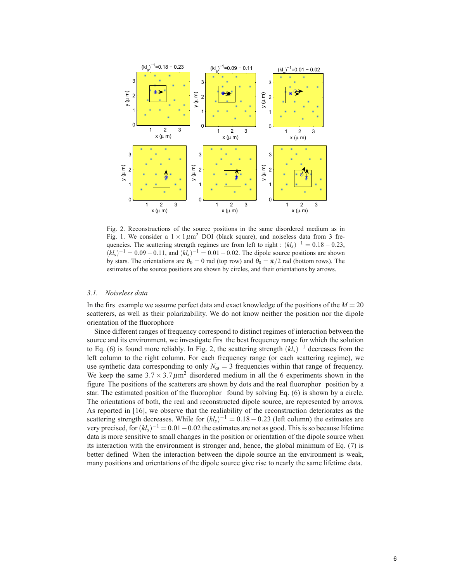

Fig. 2. Reconstructions of the source positions in the same disordered medium as in Fig. 1. We consider a  $1 \times 1 \mu m^2$  DOI (black square), and noiseless data from 3 frequencies. The scattering strength regimes are from left to right :  $(kl<sub>s</sub>)^{-1} = 0.18 - 0.23$ ,  $(kl<sub>s</sub>)^{-1} = 0.09 - 0.11$ , and  $(kl<sub>s</sub>)^{-1} = 0.01 - 0.02$ . The dipole source positions are shown by stars. The orientations are  $\theta_0 = 0$  rad (top row) and  $\theta_0 = \pi/2$  rad (bottom rows). The estimates of the source positions are shown by circles, and their orientations by arrows.

### *3.1. Noiseless data*

In the firs example we assume perfect data and exact knowledge of the positions of the  $M = 20$ scatterers, as well as their polarizability. We do not know neither the position nor the dipole orientation of the fluorophore

Since different ranges of frequency correspond to distinct regimes of interaction between the source and its environment, we investigate firs the best frequency range for which the solution to Eq. (6) is found more reliably. In Fig. 2, the scattering strength (*kls*)−<sup>1</sup> decreases from the left column to the right column. For each frequency range (or each scattering regime), we use synthetic data corresponding to only  $N_{\omega} = 3$  frequencies within that range of frequency. We keep the same  $3.7 \times 3.7 \mu m^2$  disordered medium in all the 6 experiments shown in the figure The positions of the scatterers are shown by dots and the real fluorophor position by a star. The estimated position of the fluorophor found by solving Eq. (6) is shown by a circle. The orientations of both, the real and reconstructed dipole source, are represented by arrows. As reported in [16], we observe that the realiability of the reconstruction deteriorates as the scattering strength decreases. While for  $(kl<sub>s</sub>)^{-1} = 0.18 - 0.23$  (left column) the estimates are very precised, for(*kls*)−<sup>1</sup> <sup>=</sup> <sup>0</sup>.01−0.02 the estimates are not as good. This is so because lifetime data is more sensitive to small changes in the position or orientation of the dipole source when its interaction with the environment is stronger and, hence, the global minimum of Eq. (7) is better defined When the interaction between the dipole source an the environment is weak, many positions and orientations of the dipole source give rise to nearly the same lifetime data.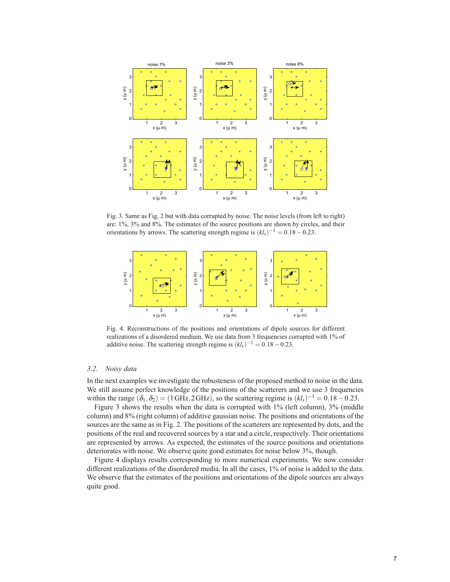

Fig. 3. Same as Fig. 2 but with data corrupted by noise. The noise levels (from left to right) are: 1%, 3% and 8%. The estimates of the source positions are shown by circles, and their orientations by arrows. The scattering strength regime is  $(kl<sub>s</sub>)^{-1} = 0.18 - 0.23$ .



Fig. 4. Reconstructions of the positions and orientations of dipole sources for different realizations of a disordered medium. We use data from 3 frequencies corrupted with 1% of additive noise. The scattering strength regime is  $(kl<sub>s</sub>)^{-1} = 0.18 - 0.23$ .

## *3.2. Noisy data*

In the next examples we investigate the robusteness of the proposed method to noise in the data. We still assume perfect knowledge of the positions of the scatterers and we use 3 frequencies within the range  $(\delta_1, \delta_2)$  = (1 GHz, 2 GHz), so the scattering regime is  $(kl_s)^{-1}$  = 0.18 – 0.23.

Figure 3 shows the results when the data is corrupted with 1% (left column), 3% (middle column) and 8% (right column) of additive gaussian noise. The positions and orientations of the sources are the same as in Fig. 2. The positions of the scatterers are represented by dots, and the positions of the real and recovered sources by a star and a circle, respectively. Their orientations are represented by arrows. As expected, the estimates of the source positions and orientations deteriorates with noise. We observe quite good estimates for noise below 3%, though.

Figure 4 displays results corresponding to more numerical experiments. We now consider different realizations of the disordered media. In all the cases, 1% of noise is added to the data. We observe that the estimates of the positions and orientations of the dipole sources are always quite good.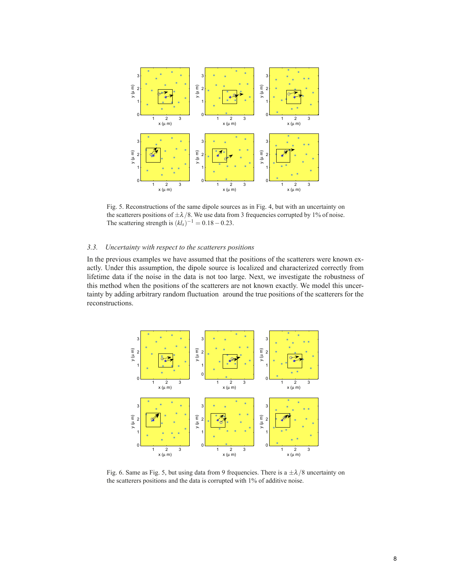

Fig. 5. Reconstructions of the same dipole sources as in Fig. 4, but with an uncertainty on the scatterers positions of  $\pm \lambda/8$ . We use data from 3 frequencies corrupted by 1% of noise. The scattering strength is  $(kl<sub>s</sub>)^{-1} = 0.18 - 0.23$ .

## *3.3. Uncertainty with respect to the scatterers positions*

In the previous examples we have assumed that the positions of the scatterers were known exactly. Under this assumption, the dipole source is localized and characterized correctly from lifetime data if the noise in the data is not too large. Next, we investigate the robustness of this method when the positions of the scatterers are not known exactly. We model this uncertainty by adding arbitrary random fluctuation around the true positions of the scatterers for the reconstructions.



Fig. 6. Same as Fig. 5, but using data from 9 frequencies. There is a  $\pm \lambda/8$  uncertainty on the scatterers positions and the data is corrupted with 1% of additive noise.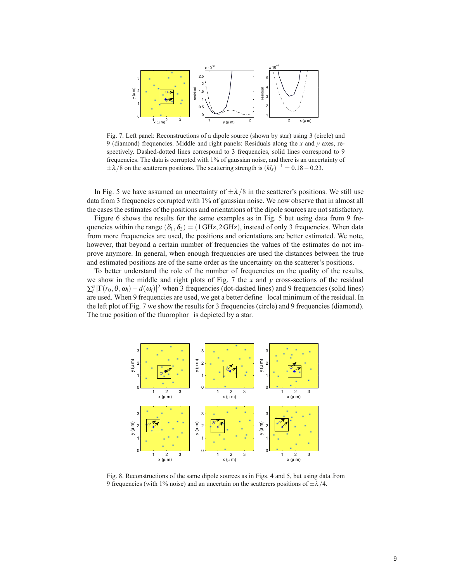

Fig. 7. Left panel: Reconstructions of a dipole source (shown by star) using 3 (circle) and 9 (diamond) frequencies. Middle and right panels: Residuals along the *x* and *y* axes, respectively. Dashed-dotted lines correspond to 3 frequencies, solid lines correspond to 9 frequencies. The data is corrupted with 1% of gaussian noise, and there is an uncertainty of  $\pm \lambda/8$  on the scatterers positions. The scattering strength is  $(kl<sub>s</sub>)^{-1} = 0.18 - 0.23$ .

In Fig. 5 we have assumed an uncertainty of  $\pm \lambda/8$  in the scatterer's positions. We still use data from 3 frequencies corrupted with 1% of gaussian noise. We now observe that in almost all the cases the estimates of the positions and orientations of the dipole sources are not satisfactory.

Figure 6 shows the results for the same examples as in Fig. 5 but using data from 9 frequencies within the range  $(\delta_1, \delta_2)$  = (1GHz, 2GHz), instead of only 3 frequencies. When data from more frequencies are used, the positions and orientations are better estimated. We note, however, that beyond a certain number of frequencies the values of the estimates do not improve anymore. In general, when enough frequencies are used the distances between the true and estimated positions are of the same order as the uncertainty on the scatterer's positions.

To better understand the role of the number of frequencies on the quality of the results, we show in the middle and right plots of Fig. 7 the *x* and *y* cross-sections of the residual  $\sum_{i}^{n} |\Gamma(r_0, \theta, \omega_i) - d(\omega_i)|^2$  when 3 frequencies (dot-dashed lines) and 9 frequencies (solid lines) are used. When 9 frequencies are used, we get a better define local minimum of the residual. In the left plot of Fig. 7 we show the results for 3 frequencies (circle) and 9 frequencies (diamond). The true position of the fluorophor is depicted by a star.



Fig. 8. Reconstructions of the same dipole sources as in Figs. 4 and 5, but using data from 9 frequencies (with 1% noise) and an uncertain on the scatterers positions of  $\pm \lambda/4$ .